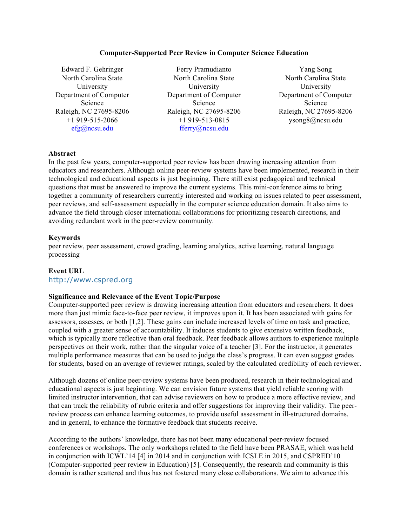### **Computer-Supported Peer Review in Computer Science Education**

Edward F. Gehringer North Carolina State University Department of Computer Science Raleigh, NC 27695-8206 +1 919-515-2066 efg@ncsu.edu

Ferry Pramudianto North Carolina State University Department of Computer Science Raleigh, NC 27695-8206 +1 919-513-0815 fferry@ncsu.edu

Yang Song North Carolina State University Department of Computer Science Raleigh, NC 27695-8206 ysong8@ncsu.edu

#### **Abstract**

In the past few years, computer-supported peer review has been drawing increasing attention from educators and researchers. Although online peer-review systems have been implemented, research in their technological and educational aspects is just beginning. There still exist pedagogical and technical questions that must be answered to improve the current systems. This mini-conference aims to bring together a community of researchers currently interested and working on issues related to peer assessment, peer reviews, and self-assessment especially in the computer science education domain. It also aims to advance the field through closer international collaborations for prioritizing research directions, and avoiding redundant work in the peer-review community.

#### **Keywords**

peer review, peer assessment, crowd grading, learning analytics, active learning, natural language processing

#### **Event URL**

http://www.cspred.org

#### **Significance and Relevance of the Event Topic/Purpose**

Computer-supported peer review is drawing increasing attention from educators and researchers. It does more than just mimic face-to-face peer review, it improves upon it. It has been associated with gains for assessors, assesses, or both [1,2]. These gains can include increased levels of time on task and practice, coupled with a greater sense of accountability. It induces students to give extensive written feedback, which is typically more reflective than oral feedback. Peer feedback allows authors to experience multiple perspectives on their work, rather than the singular voice of a teacher [3]. For the instructor, it generates multiple performance measures that can be used to judge the class's progress. It can even suggest grades for students, based on an average of reviewer ratings, scaled by the calculated credibility of each reviewer.

Although dozens of online peer-review systems have been produced, research in their technological and educational aspects is just beginning. We can envision future systems that yield reliable scoring with limited instructor intervention, that can advise reviewers on how to produce a more effective review, and that can track the reliability of rubric criteria and offer suggestions for improving their validity. The peerreview process can enhance learning outcomes, to provide useful assessment in ill-structured domains, and in general, to enhance the formative feedback that students receive.

According to the authors' knowledge, there has not been many educational peer-review focused conferences or workshops. The only workshops related to the field have been PRASAE, which was held in conjunction with ICWL'14 [4] in 2014 and in conjunction with ICSLE in 2015, and CSPRED'10 (Computer-supported peer review in Education) [5]. Consequently, the research and community is this domain is rather scattered and thus has not fostered many close collaborations. We aim to advance this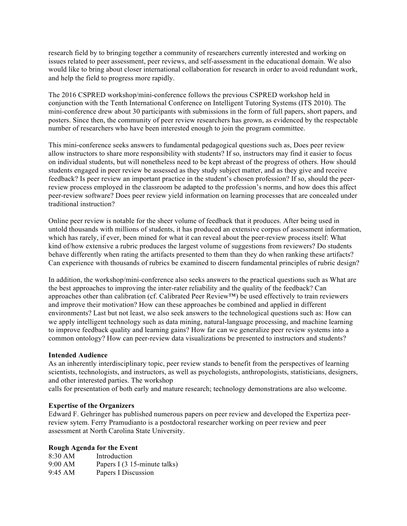research field by to bringing together a community of researchers currently interested and working on issues related to peer assessment, peer reviews, and self-assessment in the educational domain. We also would like to bring about closer international collaboration for research in order to avoid redundant work, and help the field to progress more rapidly.

The 2016 CSPRED workshop/mini-conference follows the previous CSPRED workshop held in conjunction with the Tenth International Conference on Intelligent Tutoring Systems (ITS 2010). The mini-conference drew about 30 participants with submissions in the form of full papers, short papers, and posters. Since then, the community of peer review researchers has grown, as evidenced by the respectable number of researchers who have been interested enough to join the program committee.

This mini-conference seeks answers to fundamental pedagogical questions such as, Does peer review allow instructors to share more responsibility with students? If so, instructors may find it easier to focus on individual students, but will nonetheless need to be kept abreast of the progress of others. How should students engaged in peer review be assessed as they study subject matter, and as they give and receive feedback? Is peer review an important practice in the student's chosen profession? If so, should the peerreview process employed in the classroom be adapted to the profession's norms, and how does this affect peer-review software? Does peer review yield information on learning processes that are concealed under traditional instruction?

Online peer review is notable for the sheer volume of feedback that it produces. After being used in untold thousands with millions of students, it has produced an extensive corpus of assessment information, which has rarely, if ever, been mined for what it can reveal about the peer-review process itself: What kind of/how extensive a rubric produces the largest volume of suggestions from reviewers? Do students behave differently when rating the artifacts presented to them than they do when ranking these artifacts? Can experience with thousands of rubrics be examined to discern fundamental principles of rubric design?

In addition, the workshop/mini-conference also seeks answers to the practical questions such as What are the best approaches to improving the inter-rater reliability and the quality of the feedback? Can approaches other than calibration (cf. Calibrated Peer Review™) be used effectively to train reviewers and improve their motivation? How can these approaches be combined and applied in different environments? Last but not least, we also seek answers to the technological questions such as: How can we apply intelligent technology such as data mining, natural-language processing, and machine learning to improve feedback quality and learning gains? How far can we generalize peer review systems into a common ontology? How can peer-review data visualizations be presented to instructors and students?

### **Intended Audience**

As an inherently interdisciplinary topic, peer review stands to benefit from the perspectives of learning scientists, technologists, and instructors, as well as psychologists, anthropologists, statisticians, designers, and other interested parties. The workshop

calls for presentation of both early and mature research; technology demonstrations are also welcome.

#### **Expertise of the Organizers**

Edward F. Gehringer has published numerous papers on peer review and developed the Expertiza peerreview sytem. Ferry Pramudianto is a postdoctoral researcher working on peer review and peer assessment at North Carolina State University.

#### **Rough Agenda for the Event**

| 8:30 AM | Introduction                 |
|---------|------------------------------|
| 9:00 AM | Papers I (3 15-minute talks) |
| 9:45 AM | Papers I Discussion          |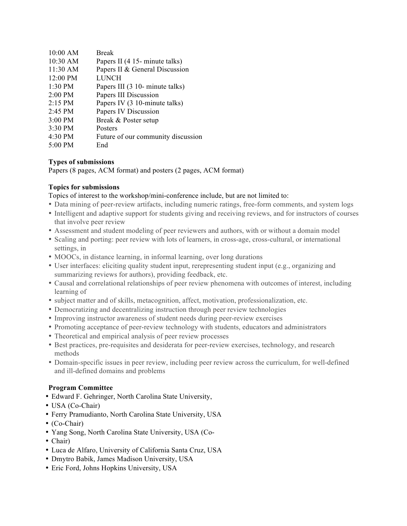| 10:00 AM          | <b>Break</b>                       |
|-------------------|------------------------------------|
| $10:30$ AM        | Papers II (4 15- minute talks)     |
| 11:30 AM          | Papers II & General Discussion     |
| 12:00 PM          | <b>LUNCH</b>                       |
| 1:30 PM           | Papers III (3 10- minute talks)    |
| 2:00 PM           | Papers III Discussion              |
| $2:15 \text{ PM}$ | Papers IV (3 10-minute talks)      |
| $2:45$ PM         | Papers IV Discussion               |
| $3:00$ PM         | Break & Poster setup               |
| 3:30 PM           | Posters                            |
| 4:30 PM           | Future of our community discussion |
| $5:00$ PM         | End                                |

# **Types of submissions**

Papers (8 pages, ACM format) and posters (2 pages, ACM format)

## **Topics for submissions**

Topics of interest to the workshop/mini-conference include, but are not limited to:

- Data mining of peer-review artifacts, including numeric ratings, free-form comments, and system logs
- Intelligent and adaptive support for students giving and receiving reviews, and for instructors of courses that involve peer review
- Assessment and student modeling of peer reviewers and authors, with or without a domain model
- Scaling and porting: peer review with lots of learners, in cross-age, cross-cultural, or international settings, in
- MOOCs, in distance learning, in informal learning, over long durations
- User interfaces: eliciting quality student input, rerepresenting student input (e.g., organizing and summarizing reviews for authors), providing feedback, etc.
- Causal and correlational relationships of peer review phenomena with outcomes of interest, including learning of
- subject matter and of skills, metacognition, affect, motivation, professionalization, etc.
- Democratizing and decentralizing instruction through peer review technologies
- Improving instructor awareness of student needs during peer-review exercises
- Promoting acceptance of peer-review technology with students, educators and administrators
- Theoretical and empirical analysis of peer review processes
- Best practices, pre-requisites and desiderata for peer-review exercises, technology, and research methods
- Domain-specific issues in peer review, including peer review across the curriculum, for well-defined and ill-defined domains and problems

## **Program Committee**

- Edward F. Gehringer, North Carolina State University,
- USA (Co-Chair)
- Ferry Pramudianto, North Carolina State University, USA
- (Co-Chair)
- Yang Song, North Carolina State University, USA (Co-
- Chair)
- Luca de Alfaro, University of California Santa Cruz, USA
- Dmytro Babik, James Madison University, USA
- Eric Ford, Johns Hopkins University, USA